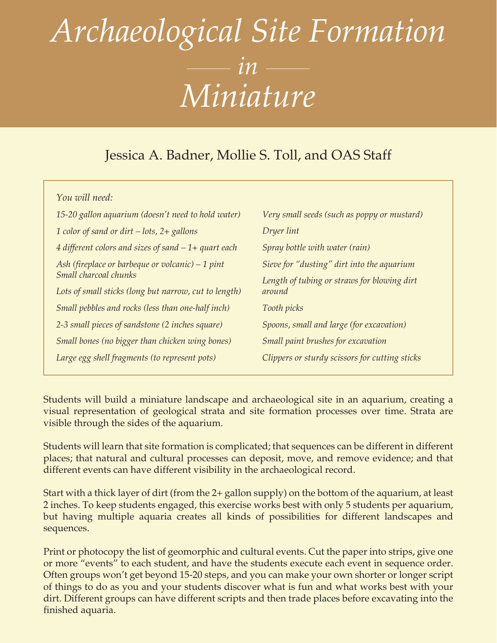### Jessica A. Badner, Mollie S. Toll, and OAS Staff

*You will need:*

| 15-20 gallon aquarium (doesn't need to hold water)      | Very small seeds (such as poppy or mustard)    |
|---------------------------------------------------------|------------------------------------------------|
| 1 color of sand or dirt $-$ lots, $2+$ gallons          | Dryer lint                                     |
| $4$ different colors and sizes of sand $-1+$ quart each | Spray bottle with water (rain)                 |
| Ash (fireplace or barbeque or volcanic) $-1$ pint       | Sieve for "dusting" dirt into the aquarium     |
| Small charcoal chunks                                   | Length of tubing or straws for blowing dirt    |
| Lots of small sticks (long but narrow, cut to length)   | around                                         |
| Small pebbles and rocks (less than one-half inch)       | Tooth picks                                    |
| 2-3 small pieces of sandstone (2 inches square)         | Spoons, small and large (for excavation)       |
| Small bones (no bigger than chicken wing bones)         | Small paint brushes for excavation             |
| Large egg shell fragments (to represent pots)           | Clippers or sturdy scissors for cutting sticks |
|                                                         |                                                |

Students will build a miniature landscape and archaeological site in an aquarium, creating a visual representation of geological strata and site formation processes over time. Strata are visible through the sides of the aquarium.

Students will learn that site formation is complicated; that sequences can be different in different places; that natural and cultural processes can deposit, move, and remove evidence; and that different events can have different visibility in the archaeological record.

Start with a thick layer of dirt (from the 2+ gallon supply) on the bottom of the aquarium, at least 2 inches. To keep students engaged, this exercise works best with only 5 students per aquarium, but having multiple aquaria creates all kinds of possibilities for different landscapes and sequences.

Print or photocopy the list of geomorphic and cultural events. Cut the paper into strips, give one or more "events" to each student, and have the students execute each event in sequence order. Often groups won't get beyond 15-20 steps, and you can make your own shorter or longer script of things to do as you and your students discover what is fun and what works best with your dirt. Different groups can have different scripts and then trade places before excavating into the finished aquaria.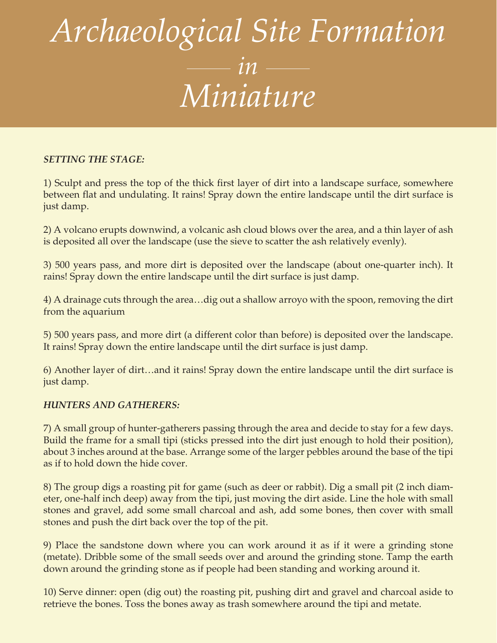### *SETTING THE STAGE:*

1) Sculpt and press the top of the thick first layer of dirt into a landscape surface, somewhere between flat and undulating. It rains! Spray down the entire landscape until the dirt surface is just damp.

2) A volcano erupts downwind, a volcanic ash cloud blows over the area, and a thin layer of ash is deposited all over the landscape (use the sieve to scatter the ash relatively evenly).

3) 500 years pass, and more dirt is deposited over the landscape (about one-quarter inch). It rains! Spray down the entire landscape until the dirt surface is just damp.

4) A drainage cuts through the area…dig out a shallow arroyo with the spoon, removing the dirt from the aquarium

5) 500 years pass, and more dirt (a different color than before) is deposited over the landscape. It rains! Spray down the entire landscape until the dirt surface is just damp.

6) Another layer of dirt…and it rains! Spray down the entire landscape until the dirt surface is just damp.

#### *HUNTERS AND GATHERERS:*

7) A small group of hunter-gatherers passing through the area and decide to stay for a few days. Build the frame for a small tipi (sticks pressed into the dirt just enough to hold their position), about 3 inches around at the base. Arrange some of the larger pebbles around the base of the tipi as if to hold down the hide cover.

8) The group digs a roasting pit for game (such as deer or rabbit). Dig a small pit (2 inch diameter, one-half inch deep) away from the tipi, just moving the dirt aside. Line the hole with small stones and gravel, add some small charcoal and ash, add some bones, then cover with small stones and push the dirt back over the top of the pit.

9) Place the sandstone down where you can work around it as if it were a grinding stone (metate). Dribble some of the small seeds over and around the grinding stone. Tamp the earth down around the grinding stone as if people had been standing and working around it.

10) Serve dinner: open (dig out) the roasting pit, pushing dirt and gravel and charcoal aside to retrieve the bones. Toss the bones away as trash somewhere around the tipi and metate.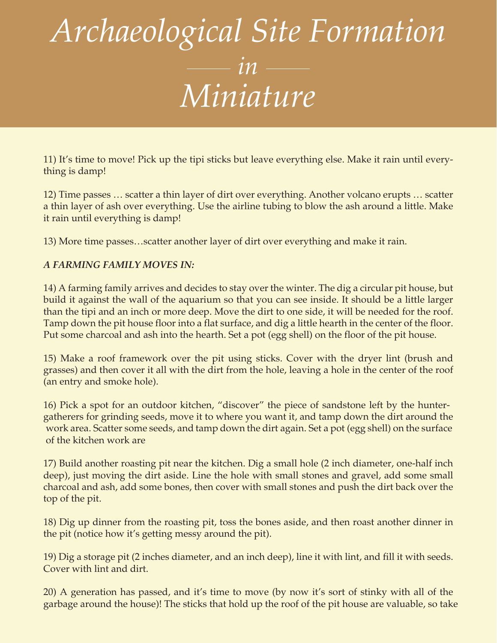11) It's time to move! Pick up the tipi sticks but leave everything else. Make it rain until everything is damp!

12) Time passes … scatter a thin layer of dirt over everything. Another volcano erupts … scatter a thin layer of ash over everything. Use the airline tubing to blow the ash around a little. Make it rain until everything is damp!

13) More time passes…scatter another layer of dirt over everything and make it rain.

### *A FARMING FAMILY MOVES IN:*

14) A farming family arrives and decides to stay over the winter. The dig a circular pit house, but build it against the wall of the aquarium so that you can see inside. It should be a little larger than the tipi and an inch or more deep. Move the dirt to one side, it will be needed for the roof. Tamp down the pit house floor into a flat surface, and dig a little hearth in the center of the floor. Put some charcoal and ash into the hearth. Set a pot (egg shell) on the floor of the pit house.

15) Make a roof framework over the pit using sticks. Cover with the dryer lint (brush and grasses) and then cover it all with the dirt from the hole, leaving a hole in the center of the roof (an entry and smoke hole).

16) Pick a spot for an outdoor kitchen, "discover" the piece of sandstone left by the huntergatherers for grinding seeds, move it to where you want it, and tamp down the dirt around the work area. Scatter some seeds, and tamp down the dirt again. Set a pot (egg shell) on the surface of the kitchen work are

17) Build another roasting pit near the kitchen. Dig a small hole (2 inch diameter, one-half inch deep), just moving the dirt aside. Line the hole with small stones and gravel, add some small charcoal and ash, add some bones, then cover with small stones and push the dirt back over the top of the pit.

18) Dig up dinner from the roasting pit, toss the bones aside, and then roast another dinner in the pit (notice how it's getting messy around the pit).

19) Dig a storage pit (2 inches diameter, and an inch deep), line it with lint, and fill it with seeds. Cover with lint and dirt.

20) A generation has passed, and it's time to move (by now it's sort of stinky with all of the garbage around the house)! The sticks that hold up the roof of the pit house are valuable, so take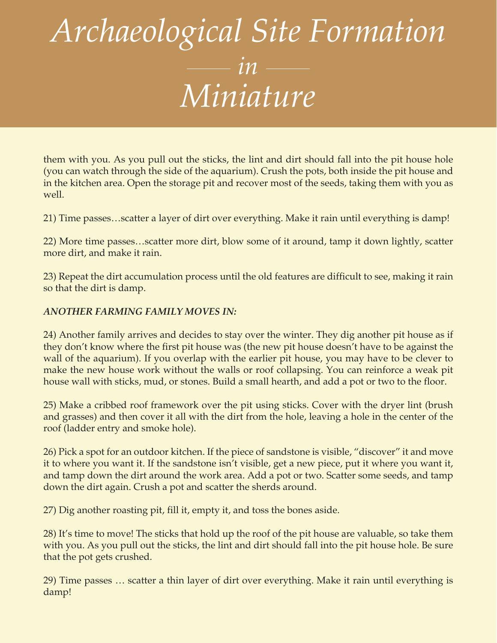them with you. As you pull out the sticks, the lint and dirt should fall into the pit house hole (you can watch through the side of the aquarium). Crush the pots, both inside the pit house and in the kitchen area. Open the storage pit and recover most of the seeds, taking them with you as well.

21) Time passes…scatter a layer of dirt over everything. Make it rain until everything is damp!

22) More time passes…scatter more dirt, blow some of it around, tamp it down lightly, scatter more dirt, and make it rain.

23) Repeat the dirt accumulation process until the old features are difficult to see, making it rain so that the dirt is damp.

### *ANOTHER FARMING FAMILY MOVES IN:*

24) Another family arrives and decides to stay over the winter. They dig another pit house as if they don't know where the first pit house was (the new pit house doesn't have to be against the wall of the aquarium). If you overlap with the earlier pit house, you may have to be clever to make the new house work without the walls or roof collapsing. You can reinforce a weak pit house wall with sticks, mud, or stones. Build a small hearth, and add a pot or two to the floor.

25) Make a cribbed roof framework over the pit using sticks. Cover with the dryer lint (brush and grasses) and then cover it all with the dirt from the hole, leaving a hole in the center of the roof (ladder entry and smoke hole).

26) Pick a spot for an outdoor kitchen. If the piece of sandstone is visible, "discover" it and move it to where you want it. If the sandstone isn't visible, get a new piece, put it where you want it, and tamp down the dirt around the work area. Add a pot or two. Scatter some seeds, and tamp down the dirt again. Crush a pot and scatter the sherds around.

27) Dig another roasting pit, fill it, empty it, and toss the bones aside.

28) It's time to move! The sticks that hold up the roof of the pit house are valuable, so take them with you. As you pull out the sticks, the lint and dirt should fall into the pit house hole. Be sure that the pot gets crushed.

29) Time passes … scatter a thin layer of dirt over everything. Make it rain until everything is damp!